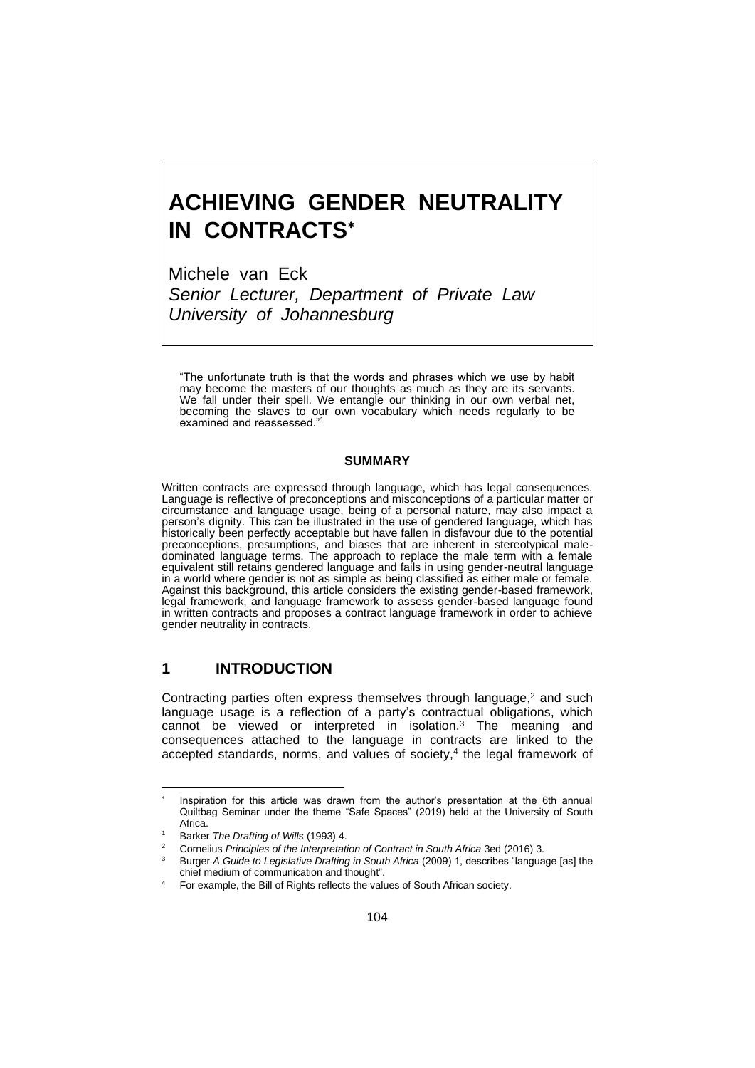# **ACHIEVING GENDER NEUTRALITY IN CONTRACTS**

Michele van Eck *Senior Lecturer, Department of Private Law University of Johannesburg*

"The unfortunate truth is that the words and phrases which we use by habit may become the masters of our thoughts as much as they are its servants. We fall under their spell. We entangle our thinking in our own verbal net, becoming the slaves to our own vocabulary which needs regularly to be examined and reassessed."<sup>1</sup>

#### **SUMMARY**

Written contracts are expressed through language, which has legal consequences. Language is reflective of preconceptions and misconceptions of a particular matter or circumstance and language usage, being of a personal nature, may also impact a person's dignity. This can be illustrated in the use of gendered language, which has historically been perfectly acceptable but have fallen in disfavour due to the potential preconceptions, presumptions, and biases that are inherent in stereotypical maledominated language terms. The approach to replace the male term with a female equivalent still retains gendered language and fails in using gender-neutral language in a world where gender is not as simple as being classified as either male or female. Against this background, this article considers the existing gender-based framework, legal framework, and language framework to assess gender-based language found in written contracts and proposes a contract language framework in order to achieve gender neutrality in contracts.

# **1 INTRODUCTION**

Contracting parties often express themselves through language,<sup>2</sup> and such language usage is a reflection of a party's contractual obligations, which cannot be viewed or interpreted in isolation.<sup>3</sup> The meaning and consequences attached to the language in contracts are linked to the accepted standards, norms, and values of society,<sup>4</sup> the legal framework of

<sup>\*</sup> Inspiration for this article was drawn from the author's presentation at the 6th annual Quiltbag Seminar under the theme "Safe Spaces" (2019) held at the University of South Africa.

<sup>1</sup> Barker *The Drafting of Wills* (1993) 4.

<sup>2</sup> Cornelius *Principles of the Interpretation of Contract in South Africa* 3ed (2016) 3.

<sup>3</sup> Burger *A Guide to Legislative Drafting in South Africa* (2009) 1, describes "language [as] the chief medium of communication and thought".

<sup>4</sup> For example, the Bill of Rights reflects the values of South African society.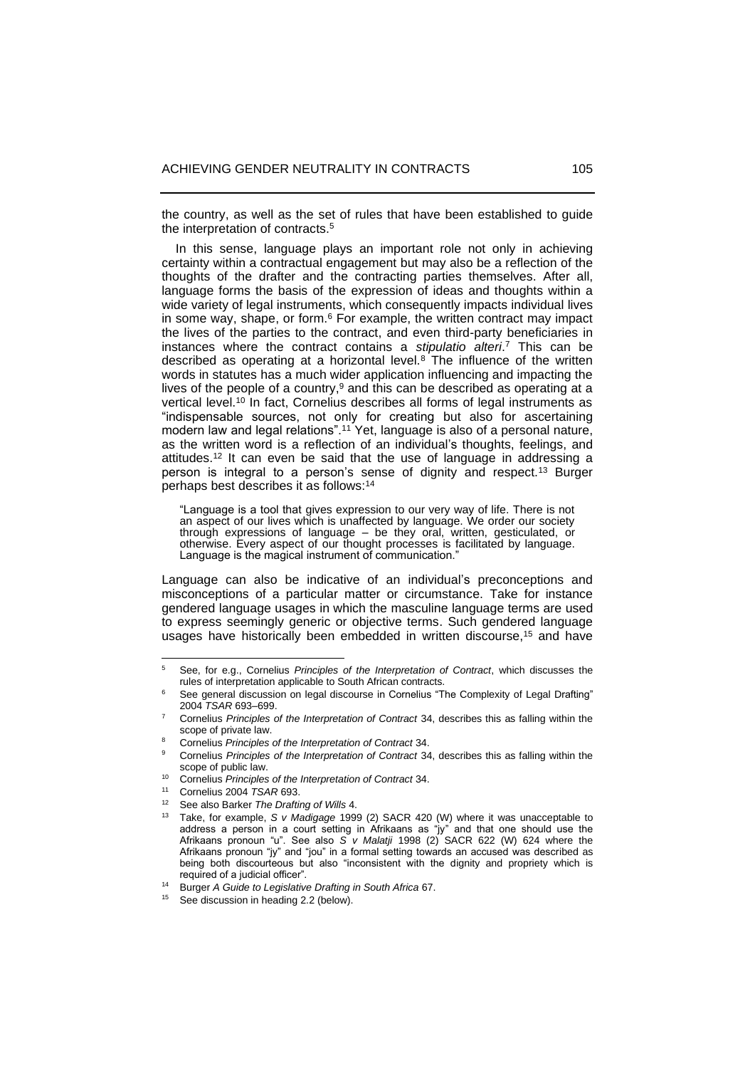the country, as well as the set of rules that have been established to guide the interpretation of contracts.<sup>5</sup>

 In this sense, language plays an important role not only in achieving certainty within a contractual engagement but may also be a reflection of the thoughts of the drafter and the contracting parties themselves. After all, language forms the basis of the expression of ideas and thoughts within a wide variety of legal instruments, which consequently impacts individual lives in some way, shape, or form.<sup>6</sup> For example, the written contract may impact the lives of the parties to the contract, and even third-party beneficiaries in instances where the contract contains a *stipulatio alteri*. <sup>7</sup> This can be described as operating at a horizontal level.<sup>8</sup> The influence of the written words in statutes has a much wider application influencing and impacting the lives of the people of a country, <sup>9</sup> and this can be described as operating at a vertical level.<sup>10</sup> In fact, Cornelius describes all forms of legal instruments as "indispensable sources, not only for creating but also for ascertaining modern law and legal relations".<sup>11</sup> Yet, language is also of a personal nature, as the written word is a reflection of an individual's thoughts, feelings, and attitudes.<sup>12</sup> It can even be said that the use of language in addressing a person is integral to a person's sense of dignity and respect.<sup>13</sup> Burger perhaps best describes it as follows:<sup>14</sup>

<span id="page-1-0"></span>"Language is a tool that gives expression to our very way of life. There is not an aspect of our lives which is unaffected by language. We order our society through expressions of language – be they oral, written, gesticulated, or otherwise. Every aspect of our thought processes is facilitated by language. Language is the magical instrument of communication."

Language can also be indicative of an individual's preconceptions and misconceptions of a particular matter or circumstance. Take for instance gendered language usages in which the masculine language terms are used to express seemingly generic or objective terms. Such gendered language usages have historically been embedded in written discourse, <sup>15</sup> and have

- <sup>12</sup> See also Barker *The Drafting of Wills* 4.
- <sup>13</sup> Take, for example, *S v Madigage* 1999 (2) SACR 420 (W) where it was unacceptable to address a person in a court setting in Afrikaans as "jy" and that one should use the Afrikaans pronoun "u". See also *S v Malatji* 1998 (2) SACR 622 (W) 624 where the Afrikaans pronoun "jy" and "jou" in a formal setting towards an accused was described as being both discourteous but also "inconsistent with the dignity and propriety which is required of a judicial officer".

<sup>5</sup> See, for e.g., Cornelius *Principles of the Interpretation of Contract*, which discusses the rules of interpretation applicable to South African contracts.

<sup>6</sup> See general discussion on legal discourse in Cornelius "The Complexity of Legal Drafting" 2004 *TSAR* 693‒699.

<sup>7</sup> Cornelius *Principles of the Interpretation of Contract* 34, describes this as falling within the scope of private law.

<sup>8</sup> Cornelius *Principles of the Interpretation of Contract* 34.

<sup>9</sup> Cornelius *Principles of the Interpretation of Contract* 34, describes this as falling within the scope of public law.

<sup>10</sup> Cornelius *Principles of the Interpretation of Contract* 34.

<sup>11</sup> Cornelius 2004 *TSAR* 693.

<sup>14</sup> Burger *A Guide to Legislative Drafting in South Africa* 67.

<sup>15</sup> See discussion in heading 2.2 (below).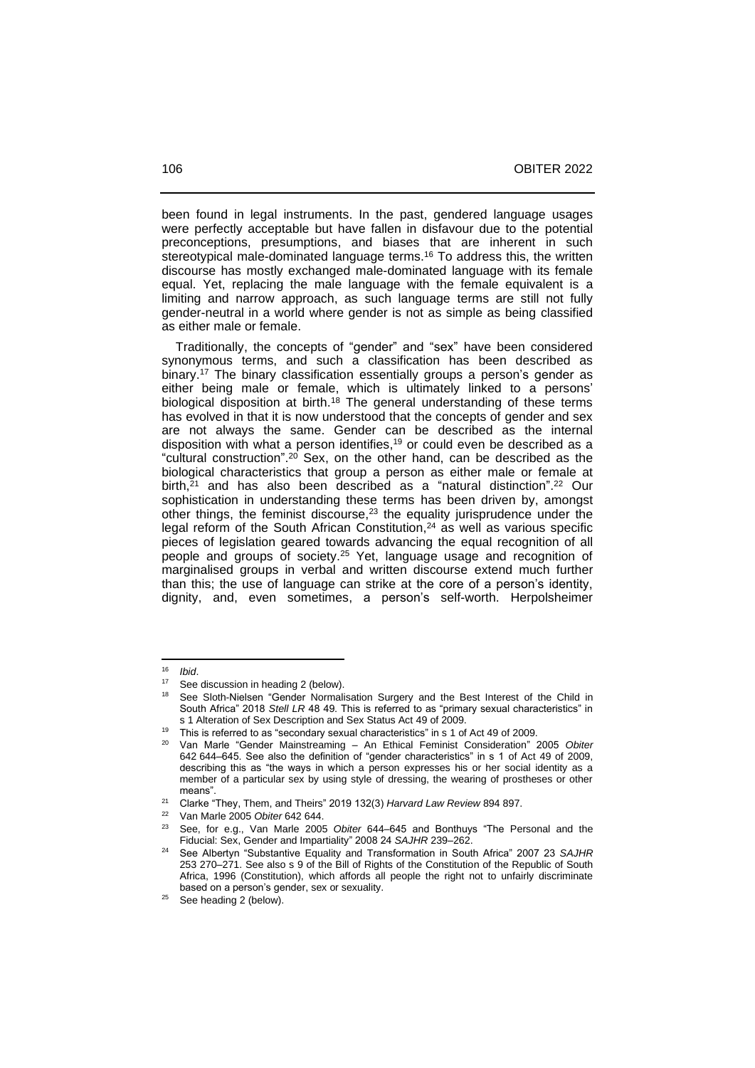been found in legal instruments. In the past, gendered language usages were perfectly acceptable but have fallen in disfavour due to the potential preconceptions, presumptions, and biases that are inherent in such stereotypical male-dominated language terms. <sup>16</sup> To address this, the written discourse has mostly exchanged male-dominated language with its female equal. Yet, replacing the male language with the female equivalent is a limiting and narrow approach, as such language terms are still not fully gender-neutral in a world where gender is not as simple as being classified as either male or female.

 Traditionally, the concepts of "gender" and "sex" have been considered synonymous terms, and such a classification has been described as binary. <sup>17</sup> The binary classification essentially groups a person's gender as either being male or female, which is ultimately linked to a persons' biological disposition at birth.<sup>18</sup> The general understanding of these terms has evolved in that it is now understood that the concepts of gender and sex are not always the same. Gender can be described as the internal disposition with what a person identifies, <sup>19</sup> or could even be described as a "cultural construction". <sup>20</sup> Sex, on the other hand, can be described as the biological characteristics that group a person as either male or female at birth, <sup>21</sup> and has also been described as a "natural distinction". <sup>22</sup> Our sophistication in understanding these terms has been driven by, amongst other things, the feminist discourse, <sup>23</sup> the equality jurisprudence under the legal reform of the South African Constitution, <sup>24</sup> as well as various specific pieces of legislation geared towards advancing the equal recognition of all people and groups of society. <sup>25</sup> Yet, language usage and recognition of marginalised groups in verbal and written discourse extend much further than this; the use of language can strike at the core of a person's identity, dignity, and, even sometimes, a person's self-worth. Herpolsheimer

<sup>16</sup> *Ibid*.

See discussion in heading 2 (below).

<sup>&</sup>lt;sup>18</sup> See Sloth-Nielsen "Gender Normalisation Surgery and the Best Interest of the Child in South Africa" 2018 *Stell LR* 48 49. This is referred to as "primary sexual characteristics" in s 1 Alteration of Sex Description and Sex Status Act 49 of 2009.

<sup>&</sup>lt;sup>19</sup> This is referred to as "secondary sexual characteristics" in s 1 of Act 49 of 2009.

<sup>20</sup> Van Marle "Gender Mainstreaming – An Ethical Feminist Consideration" 2005 *Obiter* 642 644‒645. See also the definition of "gender characteristics" in s 1 of Act 49 of 2009, describing this as "the ways in which a person expresses his or her social identity as a member of a particular sex by using style of dressing, the wearing of prostheses or other means".

<sup>21</sup> Clarke "They, Them, and Theirs" 2019 132(3) *Harvard Law Review* 894 897.

<sup>&</sup>lt;sup>22</sup> Van Marle 2005 *Obiter* 642 644.<br><sup>23</sup> See for e.g. Van Marle 2006

<sup>23</sup> See, for e.g., Van Marle 2005 *Obiter* 644‒645 and Bonthuys "The Personal and the Fiducial: Sex, Gender and Impartiality" 2008 24 *SAJHR* 239-262.

<sup>24</sup> See Albertyn "Substantive Equality and Transformation in South Africa" 2007 23 *SAJHR* 253 270‒271. See also s 9 of the Bill of Rights of the Constitution of the Republic of South Africa, 1996 (Constitution), which affords all people the right not to unfairly discriminate based on a person's gender, sex or sexuality.

 $25$  See heading 2 (below).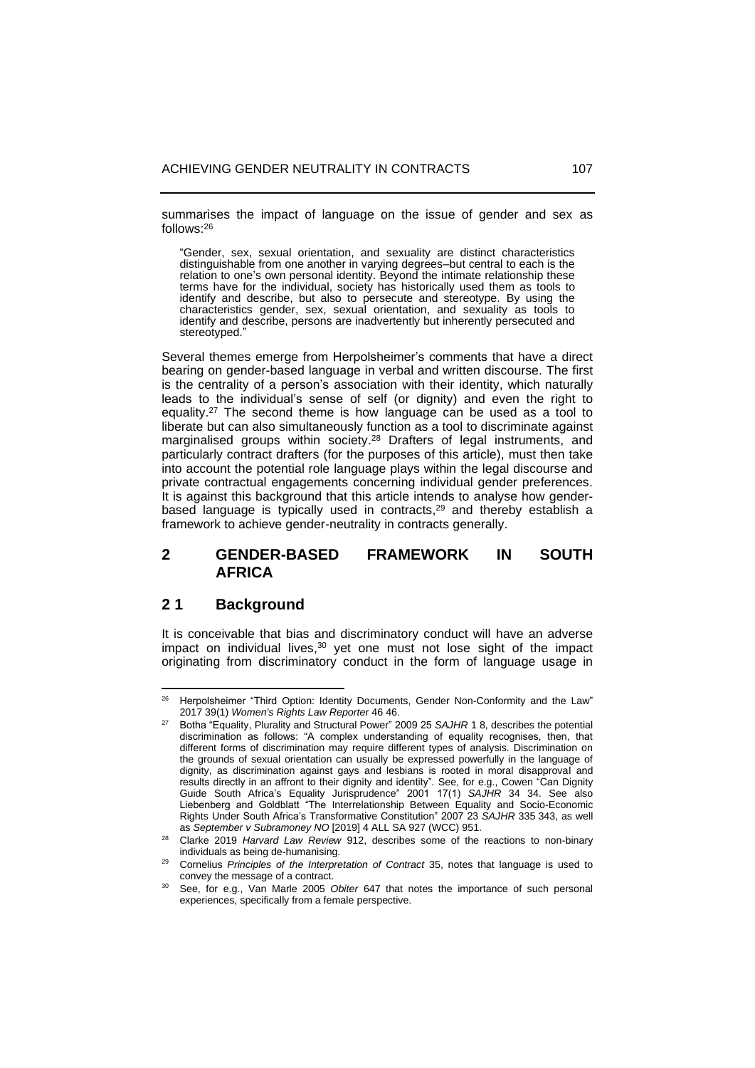summarises the impact of language on the issue of gender and sex as follows:<sup>26</sup>

"Gender, sex, sexual orientation, and sexuality are distinct characteristics distinguishable from one another in varying degrees-but central to each is the relation to one's own personal identity. Beyond the intimate relationship these terms have for the individual, society has historically used them as tools to identify and describe, but also to persecute and stereotype. By using the characteristics gender, sex, sexual orientation, and sexuality as tools to identify and describe, persons are inadvertently but inherently persecuted and stereotyped."

Several themes emerge from Herpolsheimer's comments that have a direct bearing on gender-based language in verbal and written discourse. The first is the centrality of a person's association with their identity, which naturally leads to the individual's sense of self (or dignity) and even the right to equality. <sup>27</sup> The second theme is how language can be used as a tool to liberate but can also simultaneously function as a tool to discriminate against marginalised groups within society.<sup>28</sup> Drafters of legal instruments, and particularly contract drafters (for the purposes of this article), must then take into account the potential role language plays within the legal discourse and private contractual engagements concerning individual gender preferences. It is against this background that this article intends to analyse how genderbased language is typically used in contracts, <sup>29</sup> and thereby establish a framework to achieve gender-neutrality in contracts generally.

# **2 GENDER-BASED FRAMEWORK IN SOUTH AFRICA**

# **2 1 Background**

It is conceivable that bias and discriminatory conduct will have an adverse impact on individual lives, <sup>30</sup> yet one must not lose sight of the impact originating from discriminatory conduct in the form of language usage in

<sup>&</sup>lt;sup>26</sup> Herpolsheimer "Third Option: Identity Documents, Gender Non-Conformity and the Law" 2017 39(1) *Women's Rights Law Reporter* 46 46.

<sup>27</sup> Botha "Equality, Plurality and Structural Power" 2009 25 *SAJHR* 1 8, describes the potential discrimination as follows: "A complex understanding of equality recognises, then, that different forms of discrimination may require different types of analysis. Discrimination on the grounds of sexual orientation can usually be expressed powerfully in the language of dignity, as discrimination against gays and lesbians is rooted in moral disapproval and results directly in an affront to their dignity and identity". See, for e.g., Cowen "Can Dignity Guide South Africa's Equality Jurisprudence" 2001 17(1) *SAJHR* 34 34. See also Liebenberg and Goldblatt "The Interrelationship Between Equality and Socio-Economic Rights Under South Africa's Transformative Constitution" 2007 23 *SAJHR* 335 343, as well as *September v Subramoney NO* [2019] 4 ALL SA 927 (WCC) 951.

<sup>28</sup> Clarke 2019 *Harvard Law Review* 912, describes some of the reactions to non-binary individuals as being de-humanising.

<sup>29</sup> Cornelius *Principles of the Interpretation of Contract* 35, notes that language is used to convey the message of a contract.

<sup>30</sup> See, for e.g., Van Marle 2005 *Obiter* 647 that notes the importance of such personal experiences, specifically from a female perspective.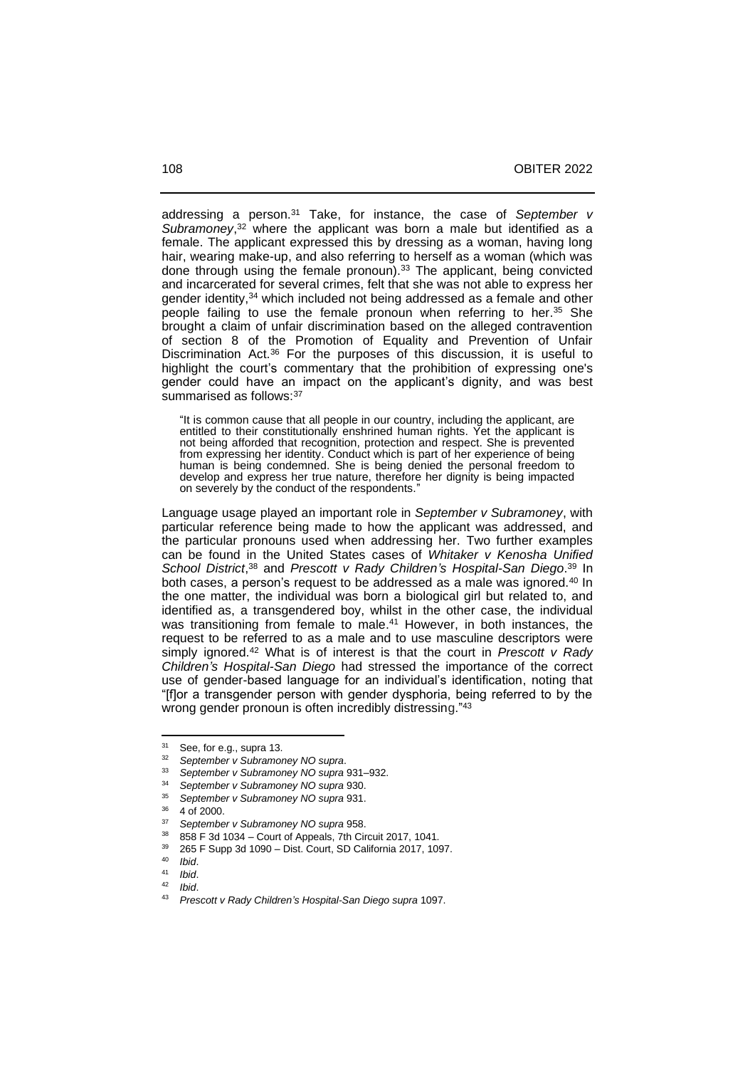addressing a person. <sup>31</sup> Take, for instance, the case of *September v*  Subramoney,<sup>32</sup> where the applicant was born a male but identified as a female. The applicant expressed this by dressing as a woman, having long hair, wearing make-up, and also referring to herself as a woman (which was done through using the female pronoun).<sup>33</sup> The applicant, being convicted and incarcerated for several crimes, felt that she was not able to express her gender identity,<sup>34</sup> which included not being addressed as a female and other people failing to use the female pronoun when referring to her. <sup>35</sup> She brought a claim of unfair discrimination based on the alleged contravention of section 8 of the Promotion of Equality and Prevention of Unfair Discrimination Act.<sup>36</sup> For the purposes of this discussion, it is useful to highlight the court's commentary that the prohibition of expressing one's gender could have an impact on the applicant's dignity, and was best summarised as follows: 37

"It is common cause that all people in our country, including the applicant, are entitled to their constitutionally enshrined human rights. Yet the applicant is not being afforded that recognition, protection and respect. She is prevented from expressing her identity. Conduct which is part of her experience of being human is being condemned. She is being denied the personal freedom to develop and express her true nature, therefore her dignity is being impacted on severely by the conduct of the respondents."

Language usage played an important role in *September v Subramoney*, with particular reference being made to how the applicant was addressed, and the particular pronouns used when addressing her. Two further examples can be found in the United States cases of *Whitaker v Kenosha Unified School District*, <sup>38</sup> and *Prescott v Rady Children's Hospital-San Diego*. <sup>39</sup> In both cases, a person's request to be addressed as a male was ignored.<sup>40</sup> In the one matter, the individual was born a biological girl but related to, and identified as, a transgendered boy, whilst in the other case, the individual was transitioning from female to male. <sup>41</sup> However, in both instances, the request to be referred to as a male and to use masculine descriptors were simply ignored.<sup>42</sup> What is of interest is that the court in *Prescott v Rady Children's Hospital-San Diego* had stressed the importance of the correct use of gender-based language for an individual's identification, noting that "[f]or a transgender person with gender dysphoria, being referred to by the wrong gender pronoun is often incredibly distressing."<sup>43</sup>

 $31$  See, for e.g., supra [13.](#page-1-0)

<sup>32</sup> *September v Subramoney NO supra*.

<sup>33</sup> *September v Subramoney NO supra* 931‒932.

<sup>34</sup> *September v Subramoney NO supra* 930.

<sup>35</sup> *September v Subramoney NO supra* 931.

<sup>4</sup> of 2000.

<sup>37</sup> *September v Subramoney NO supra* 958.

<sup>38 858</sup> F 3d 1034 – Court of Appeals, 7th Circuit 2017, 1041.

 $39 \quad 265 \text{ F}$  Supp 3d 1090 – Dist. Court, SD California 2017, 1097.

<sup>40</sup> *Ibid*.

 $41$  *Ibid.*<br> $42$  *Ibid.* 

<sup>42</sup> *Ibid*.

<sup>43</sup> *Prescott v Rady Children's Hospital-San Diego supra* 1097.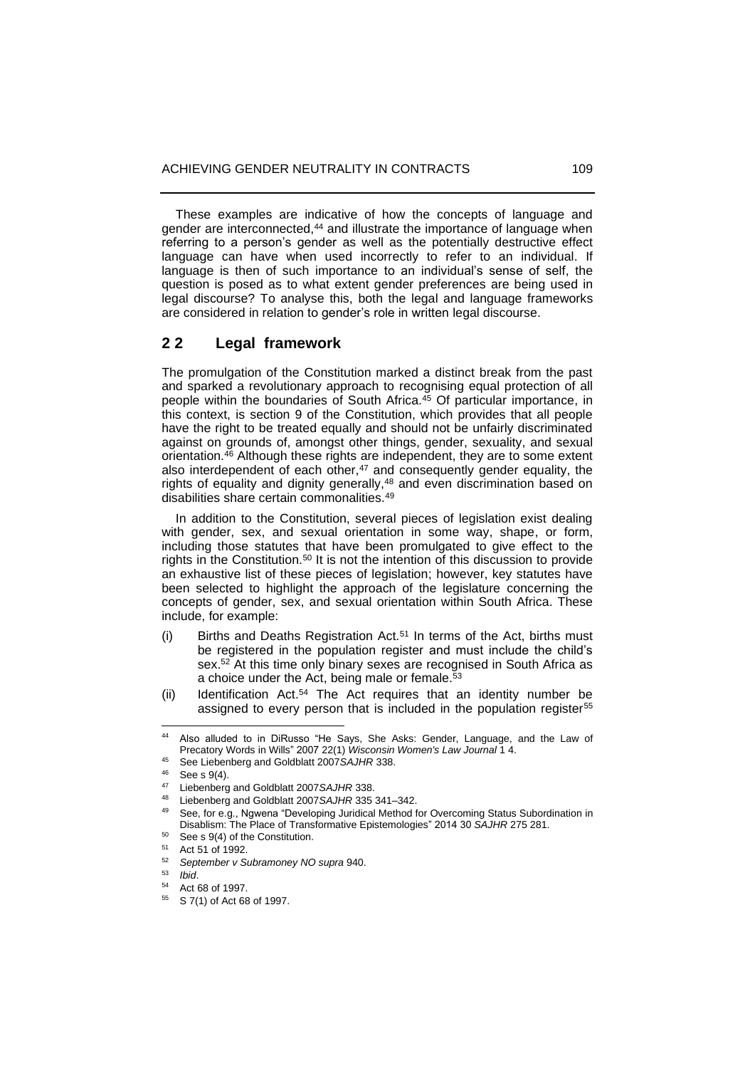These examples are indicative of how the concepts of language and gender are interconnected, <sup>44</sup> and illustrate the importance of language when referring to a person's gender as well as the potentially destructive effect language can have when used incorrectly to refer to an individual. If language is then of such importance to an individual's sense of self, the question is posed as to what extent gender preferences are being used in legal discourse? To analyse this, both the legal and language frameworks are considered in relation to gender's role in written legal discourse.

## **2 2 Legal framework**

The promulgation of the Constitution marked a distinct break from the past and sparked a revolutionary approach to recognising equal protection of all people within the boundaries of South Africa.<sup>45</sup> Of particular importance, in this context, is section 9 of the Constitution, which provides that all people have the right to be treated equally and should not be unfairly discriminated against on grounds of, amongst other things, gender, sexuality, and sexual orientation.<sup>46</sup> Although these rights are independent, they are to some extent also interdependent of each other,<sup>47</sup> and consequently gender equality, the rights of equality and dignity generally,<sup>48</sup> and even discrimination based on disabilities share certain commonalities.<sup>49</sup>

 In addition to the Constitution, several pieces of legislation exist dealing with gender, sex, and sexual orientation in some way, shape, or form, including those statutes that have been promulgated to give effect to the rights in the Constitution.<sup>50</sup> It is not the intention of this discussion to provide an exhaustive list of these pieces of legislation; however, key statutes have been selected to highlight the approach of the legislature concerning the concepts of gender, sex, and sexual orientation within South Africa. These include, for example:

- (i) Births and Deaths Registration Act.<sup>51</sup> In terms of the Act, births must be registered in the population register and must include the child's sex.<sup>52</sup> At this time only binary sexes are recognised in South Africa as a choice under the Act, being male or female.<sup>53</sup>
- (ii) Identification Act. <sup>54</sup> The Act requires that an identity number be assigned to every person that is included in the population register<sup>55</sup>

<sup>44</sup> Also alluded to in DiRusso "He Says, She Asks: Gender, Language, and the Law of Precatory Words in Wills" 2007 22(1) *Wisconsin Women's Law Journal* 1 4.

<sup>45</sup> See Liebenberg and Goldblatt 2007*SAJHR* 338.

See s 9(4).

<sup>47</sup> Liebenberg and Goldblatt 2007*SAJHR* 338.

<sup>&</sup>lt;sup>48</sup> Liebenberg and Goldblatt 2007*SAJHR* 335 341–342.

See, for e.g., Ngwena "Developing Juridical Method for Overcoming Status Subordination in Disablism: The Place of Transformative Epistemologies" 2014 30 *SAJHR* 275 281.

<sup>&</sup>lt;sup>50</sup> See s 9(4) of the Constitution.<br> $^{51}$  Act  $^{54}$  of 1002

 $51$  Act 51 of 1992.

<sup>52</sup> *September v Subramoney NO supra* 940.

<sup>53</sup> *Ibid*.

<sup>54</sup> Act 68 of 1997.

<sup>55</sup> S 7(1) of Act 68 of 1997.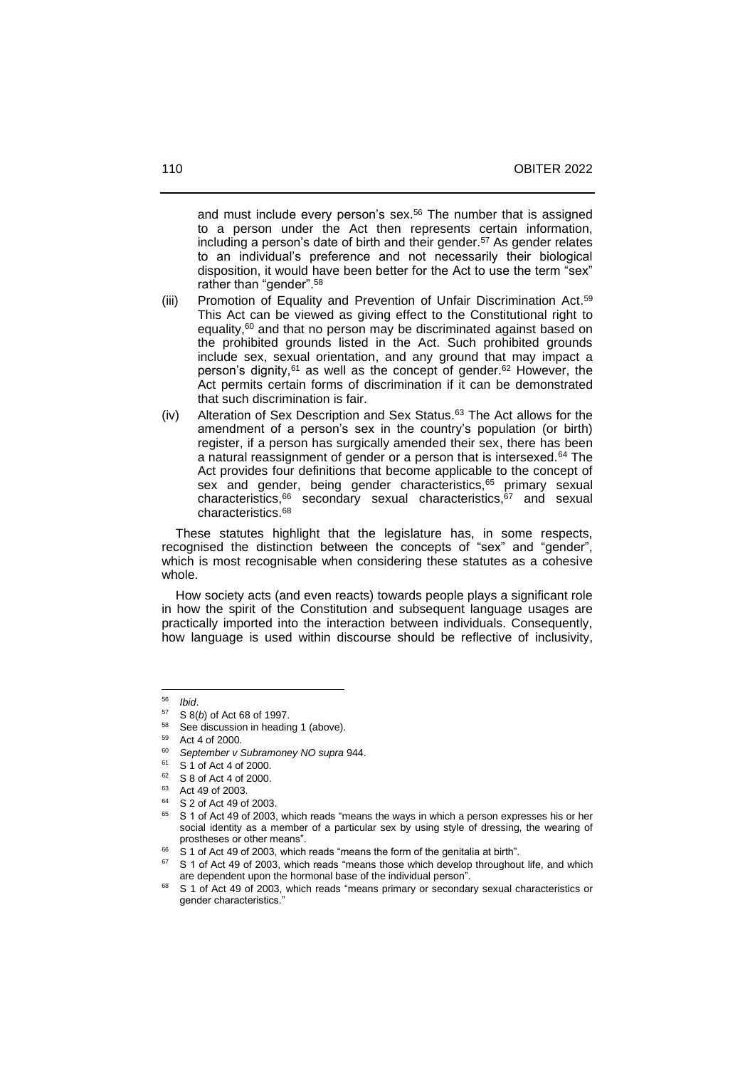and must include every person's sex. <sup>56</sup> The number that is assigned to a person under the Act then represents certain information, including a person's date of birth and their gender.<sup>57</sup> As gender relates to an individual's preference and not necessarily their biological disposition, it would have been better for the Act to use the term "sex" rather than "gender".<sup>58</sup>

- (iii) Promotion of Equality and Prevention of Unfair Discrimination Act. 59 This Act can be viewed as giving effect to the Constitutional right to equality,<sup>60</sup> and that no person may be discriminated against based on the prohibited grounds listed in the Act. Such prohibited grounds include sex, sexual orientation, and any ground that may impact a person's dignity,<sup>61</sup> as well as the concept of gender.<sup>62</sup> However, the Act permits certain forms of discrimination if it can be demonstrated that such discrimination is fair.
- (iv) Alteration of Sex Description and Sex Status. <sup>63</sup> The Act allows for the amendment of a person's sex in the country's population (or birth) register, if a person has surgically amended their sex, there has been a natural reassignment of gender or a person that is intersexed.<sup>64</sup> The Act provides four definitions that become applicable to the concept of sex and gender, being gender characteristics,<sup>65</sup> primary sexual characteristics,<sup>66</sup> secondary sexual characteristics,<sup>67</sup> and sexual characteristics.<sup>68</sup>

 These statutes highlight that the legislature has, in some respects, recognised the distinction between the concepts of "sex" and "gender", which is most recognisable when considering these statutes as a cohesive whole.

 How society acts (and even reacts) towards people plays a significant role in how the spirit of the Constitution and subsequent language usages are practically imported into the interaction between individuals. Consequently, how language is used within discourse should be reflective of inclusivity,

<sup>56</sup> *Ibid*.

 $57$  S  $8(b)$  of Act 68 of 1997.

See discussion in heading 1 (above).

<sup>59</sup> Act 4 of 2000.

<sup>60</sup> *September v Subramoney NO supra* 944.

 $^{61}$  S 1 of Act 4 of 2000.

 $62$  S 8 of Act 4 of 2000.

Act 49 of 2003.

<sup>64</sup> S 2 of Act 49 of 2003.

<sup>65</sup> S 1 of Act 49 of 2003, which reads "means the ways in which a person expresses his or her social identity as a member of a particular sex by using style of dressing, the wearing of prostheses or other means".

<sup>66</sup> S 1 of Act 49 of 2003, which reads "means the form of the genitalia at birth".

<sup>67</sup> S 1 of Act 49 of 2003, which reads "means those which develop throughout life, and which are dependent upon the hormonal base of the individual person".

<sup>68</sup> S 1 of Act 49 of 2003, which reads "means primary or secondary sexual characteristics or gender characteristics."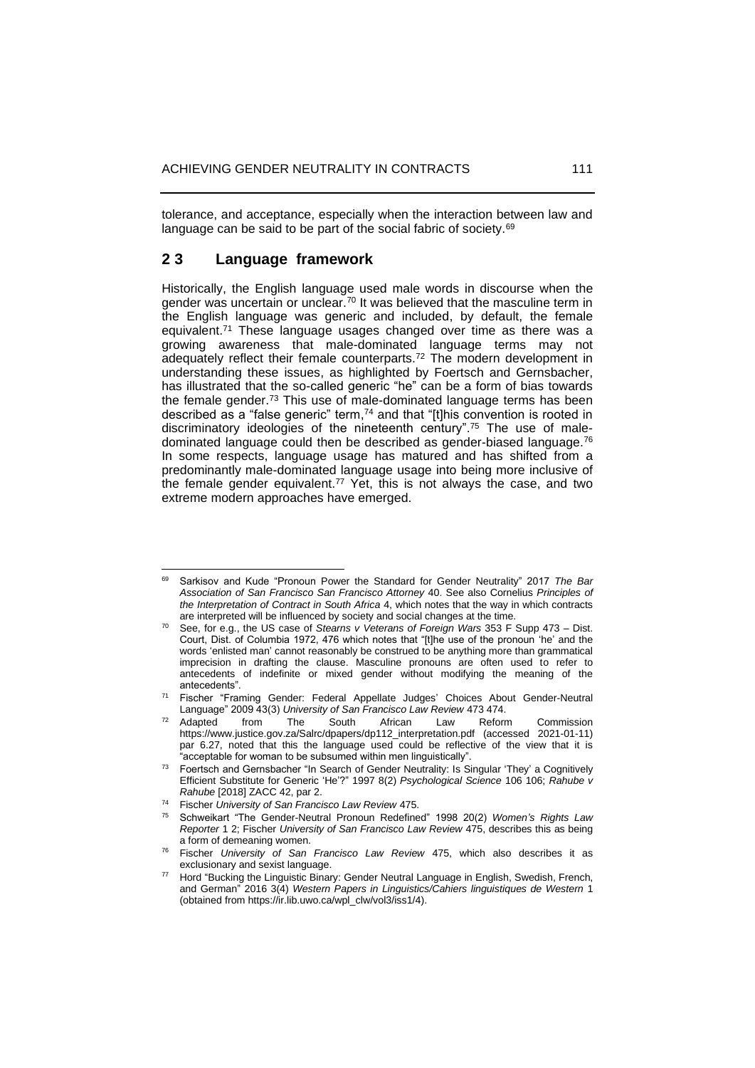tolerance, and acceptance, especially when the interaction between law and language can be said to be part of the social fabric of society.<sup>69</sup>

### **2 3 Language framework**

Historically, the English language used male words in discourse when the gender was uncertain or unclear.<sup>70</sup> It was believed that the masculine term in the English language was generic and included, by default, the female equivalent.<sup>71</sup> These language usages changed over time as there was a growing awareness that male-dominated language terms may not adequately reflect their female counterparts.<sup>72</sup> The modern development in understanding these issues, as highlighted by Foertsch and Gernsbacher, has illustrated that the so-called generic "he" can be a form of bias towards the female gender.<sup>73</sup> This use of male-dominated language terms has been described as a "false generic" term, <sup>74</sup> and that "[t]his convention is rooted in discriminatory ideologies of the nineteenth century". <sup>75</sup> The use of maledominated language could then be described as gender-biased language. 76 In some respects, language usage has matured and has shifted from a predominantly male-dominated language usage into being more inclusive of the female gender equivalent.<sup>77</sup> Yet, this is not always the case, and two extreme modern approaches have emerged.

<sup>69</sup> Sarkisov and Kude "Pronoun Power the Standard for Gender Neutrality" 2017 *The Bar Association of San Francisco San Francisco Attorney* 40. See also Cornelius *Principles of the Interpretation of Contract in South Africa* 4, which notes that the way in which contracts are interpreted will be influenced by society and social changes at the time.

<sup>70</sup> See, for e.g., the US case of *Stearns v Veterans of Foreign Wars* 353 F Supp 473 ‒ Dist. Court, Dist. of Columbia 1972, 476 which notes that "[t]he use of the pronoun 'he' and the words 'enlisted man' cannot reasonably be construed to be anything more than grammatical imprecision in drafting the clause. Masculine pronouns are often used to refer to antecedents of indefinite or mixed gender without modifying the meaning of the antecedents".

<sup>71</sup> Fischer "Framing Gender: Federal Appellate Judges' Choices About Gender-Neutral Language" 2009 43(3) *University of San Francisco Law Review* 473 474.

 $72$  Adapted from The South African Law Reform Commission [https://www.justice.gov.za/Salrc/dpapers/dp112\\_interpretation.pdf](https://www.justice.gov.za/Salrc/dpapers/dp112_interpretation.pdf) (accessed 2021-01-11) par 6.27, noted that this the language used could be reflective of the view that it is "acceptable for woman to be subsumed within men linguistically".

<sup>&</sup>lt;sup>73</sup> Foertsch and Gernsbacher "In Search of Gender Neutrality: Is Singular 'They' a Cognitively Efficient Substitute for Generic 'He'?" 1997 8(2) *Psychological Science* 106 106; *Rahube v Rahube* [2018] ZACC 42, par 2.

<sup>74</sup> Fischer *University of San Francisco Law Review* 475.

<sup>75</sup> Schweikart "The Gender-Neutral Pronoun Redefined" 1998 20(2) *Women's Rights Law Reporter* 1 2; Fischer *University of San Francisco Law Review* 475, describes this as being a form of demeaning women.

<sup>76</sup> Fischer *University of San Francisco Law Review* 475, which also describes it as exclusionary and sexist language.

Hord "Bucking the Linguistic Binary: Gender Neutral Language in English, Swedish, French, and German" 2016 3(4) *Western Papers in Linguistics/Cahiers linguistiques de Western* 1 (obtained from https://ir.lib.uwo.ca/wpl\_clw/vol3/iss1/4).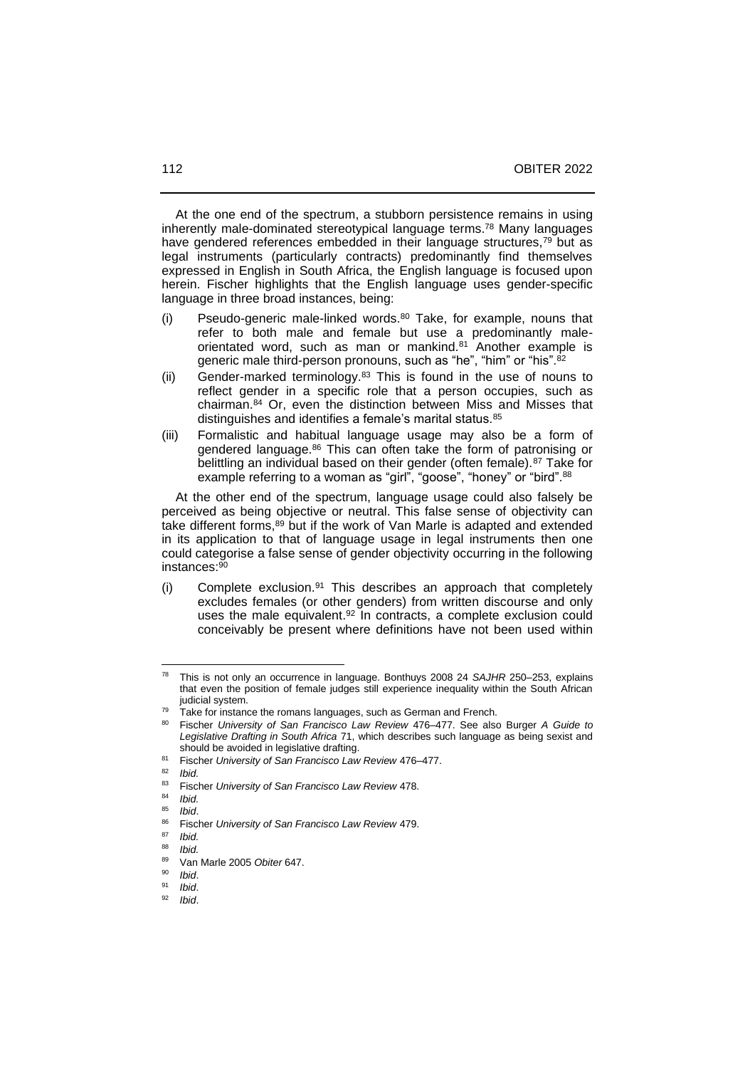At the one end of the spectrum, a stubborn persistence remains in using inherently male-dominated stereotypical language terms. <sup>78</sup> Many languages have gendered references embedded in their language structures,<sup>79</sup> but as legal instruments (particularly contracts) predominantly find themselves expressed in English in South Africa, the English language is focused upon herein. Fischer highlights that the English language uses gender-specific language in three broad instances, being:

- (i) Pseudo-generic male-linked words.<sup>80</sup> Take, for example, nouns that refer to both male and female but use a predominantly maleorientated word, such as man or mankind.<sup>81</sup> Another example is generic male third-person pronouns, such as "he", "him" or "his".<sup>82</sup>
- (ii) Gender-marked terminology.<sup>83</sup> This is found in the use of nouns to reflect gender in a specific role that a person occupies, such as chairman.<sup>84</sup> Or, even the distinction between Miss and Misses that distinguishes and identifies a female's marital status.<sup>85</sup>
- (iii) Formalistic and habitual language usage may also be a form of gendered language.<sup>86</sup> This can often take the form of patronising or belittling an individual based on their gender (often female).<sup>87</sup> Take for example referring to a woman as "girl", "goose", "honey" or "bird".<sup>88</sup>

 At the other end of the spectrum, language usage could also falsely be perceived as being objective or neutral. This false sense of objectivity can take different forms,<sup>89</sup> but if the work of Van Marle is adapted and extended in its application to that of language usage in legal instruments then one could categorise a false sense of gender objectivity occurring in the following instances: 90

(i) Complete exclusion.<sup>91</sup> This describes an approach that completely excludes females (or other genders) from written discourse and only uses the male equivalent. <sup>92</sup> In contracts, a complete exclusion could conceivably be present where definitions have not been used within

<sup>&</sup>lt;sup>78</sup> This is not only an occurrence in language. Bonthuys 2008 24 SAJHR 250-253, explains that even the position of female judges still experience inequality within the South African judicial system.

Take for instance the romans languages, such as German and French.

<sup>80</sup> Fischer *University of San Francisco Law Review* 476‒477. See also Burger *A Guide to Legislative Drafting in South Africa* 71, which describes such language as being sexist and should be avoided in legislative drafting.

<sup>&</sup>lt;sup>81</sup> Fischer *University of San Francisco Law Review* 476–477.

 $\frac{82}{83}$  *Ibid.* 

<sup>83</sup> Fischer *University of San Francisco Law Review* 478.

<sup>84</sup> *Ibid.*

<sup>85</sup> *Ibid*.

<sup>86</sup> Fischer *University of San Francisco Law Review* 479.

<sup>87</sup> *Ibid.*

<sup>88</sup> *Ibid.*

<sup>89</sup> Van Marle 2005 *Obiter* 647.

<sup>90</sup> *Ibid*.

<sup>91</sup> *Ibid*.

<sup>92</sup> *Ibid*.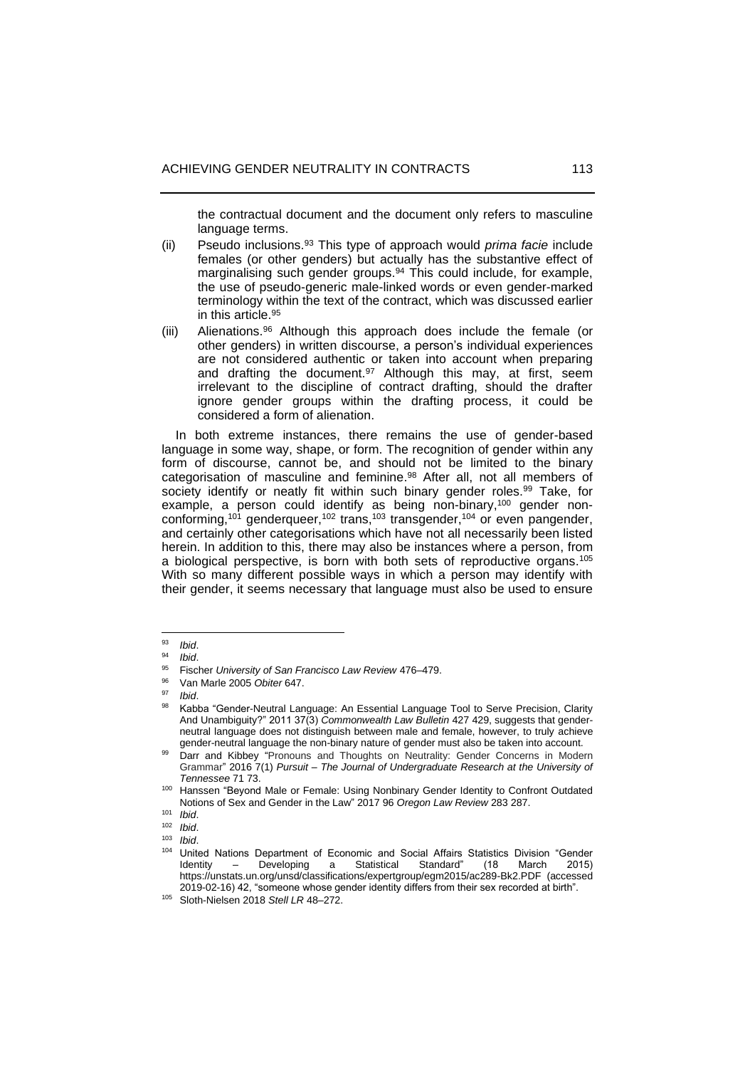the contractual document and the document only refers to masculine language terms.

- (ii) Pseudo inclusions.<sup>93</sup> This type of approach would *prima facie* include females (or other genders) but actually has the substantive effect of marginalising such gender groups. <sup>94</sup> This could include, for example, the use of pseudo-generic male-linked words or even gender-marked terminology within the text of the contract, which was discussed earlier in this article. 95
- (iii) Alienations.<sup>96</sup> Although this approach does include the female (or other genders) in written discourse, a person's individual experiences are not considered authentic or taken into account when preparing and drafting the document.<sup>97</sup> Although this may, at first, seem irrelevant to the discipline of contract drafting, should the drafter ignore gender groups within the drafting process, it could be considered a form of alienation.

 In both extreme instances, there remains the use of gender-based language in some way, shape, or form. The recognition of gender within any form of discourse, cannot be, and should not be limited to the binary categorisation of masculine and feminine. <sup>98</sup> After all, not all members of society identify or neatly fit within such binary gender roles.<sup>99</sup> Take, for example, a person could identify as being non-binary,<sup>100</sup> gender nonconforming,<sup>101</sup> genderqueer,<sup>102</sup> trans,<sup>103</sup> transgender,<sup>104</sup> or even pangender, and certainly other categorisations which have not all necessarily been listed herein. In addition to this, there may also be instances where a person, from a biological perspective, is born with both sets of reproductive organs. 105 With so many different possible ways in which a person may identify with their gender, it seems necessary that language must also be used to ensure

<sup>93</sup> *Ibid*.

<sup>94</sup> *Ibid*.

<sup>95</sup> Fischer *University of San Francisco Law Review* 476–479.

<sup>96</sup> Van Marle 2005 *Obiter* 647.

<sup>97</sup> *Ibid*.

<sup>98</sup> Kabba "Gender-Neutral Language: An Essential Language Tool to Serve Precision, Clarity And Unambiguity?" 2011 37(3) *Commonwealth Law Bulletin* 427 429, suggests that genderneutral language does not distinguish between male and female, however, to truly achieve gender-neutral language the non-binary nature of gender must also be taken into account.

<sup>99</sup> Darr and Kibbey ["Pronouns](https://trace.tennessee.edu/cgi/viewcontent.cgi?article=1311&context=pursuit) and Thoughts on Neutrality: Gender Concerns in Modern [Grammar"](https://trace.tennessee.edu/cgi/viewcontent.cgi?article=1311&context=pursuit) 2016 7(1) *Pursuit ‒ The Journal of Undergraduate Research at the University of Tennessee* 71 73.

<sup>100</sup> Hanssen "Beyond Male or Female: Using Nonbinary Gender Identity to Confront Outdated Notions of Sex and Gender in the Law" 2017 96 *Oregon Law Review* 283 287.

<sup>101</sup> *Ibid*.

<sup>102</sup> *Ibid*.

*Ibid.* 

<sup>104</sup> United Nations Department of Economic and Social Affairs Statistics Division "Gender Identity – Developing a Statistical Standard" (18 March 2015) <https://unstats.un.org/unsd/classifications/expertgroup/egm2015/ac289-Bk2.PDF> (accessed 2019-02-16) 42, "someone whose gender identity differs from their sex recorded at birth".

<sup>&</sup>lt;sup>105</sup> Sloth-Nielsen 2018 Stell LR 48-272.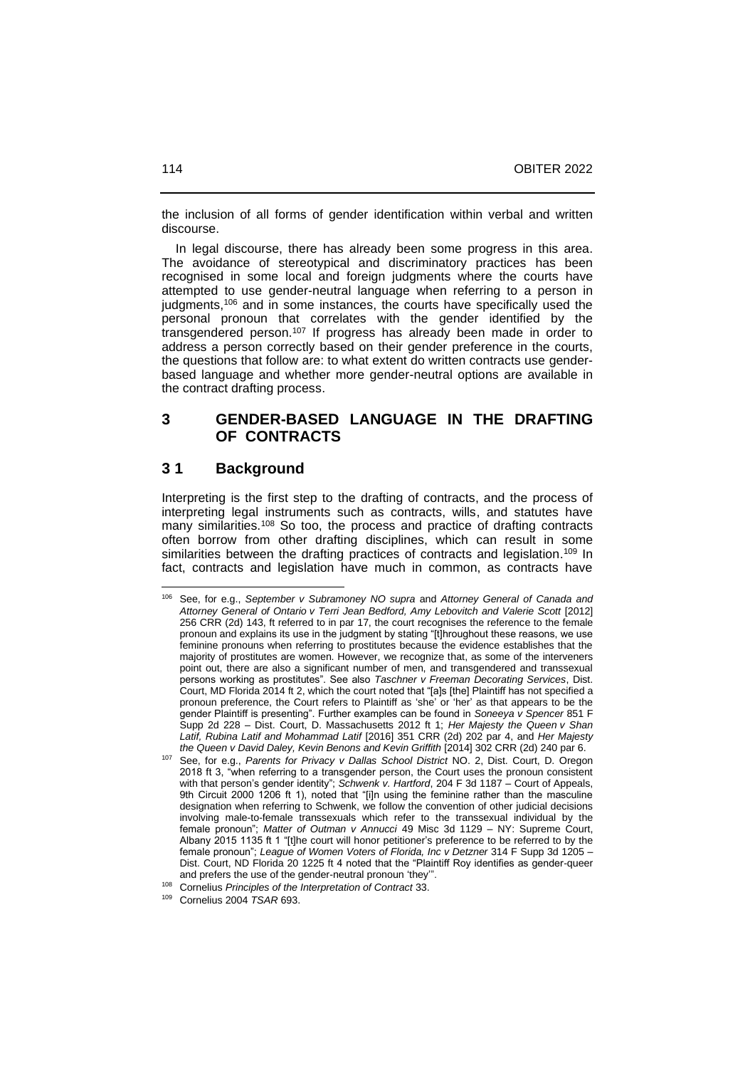the inclusion of all forms of gender identification within verbal and written discourse.

 In legal discourse, there has already been some progress in this area. The avoidance of stereotypical and discriminatory practices has been recognised in some local and foreign judgments where the courts have attempted to use gender-neutral language when referring to a person in judgments, <sup>106</sup> and in some instances, the courts have specifically used the personal pronoun that correlates with the gender identified by the transgendered person.<sup>107</sup> If progress has already been made in order to address a person correctly based on their gender preference in the courts, the questions that follow are: to what extent do written contracts use genderbased language and whether more gender-neutral options are available in the contract drafting process.

# **3 GENDER-BASED LANGUAGE IN THE DRAFTING OF CONTRACTS**

# **3 1 Background**

Interpreting is the first step to the drafting of contracts, and the process of interpreting legal instruments such as contracts, wills, and statutes have many similarities.<sup>108</sup> So too, the process and practice of drafting contracts often borrow from other drafting disciplines, which can result in some similarities between the drafting practices of contracts and legislation.<sup>109</sup> In fact, contracts and legislation have much in common, as contracts have

<sup>106</sup> See, for e.g., *September v Subramoney NO supra* and *Attorney General of Canada and Attorney General of Ontario v Terri Jean Bedford, Amy Lebovitch and Valerie Scott* [2012] 256 CRR (2d) 143, ft referred to in par 17, the court recognises the reference to the female pronoun and explains its use in the judgment by stating "[t]hroughout these reasons, we use feminine pronouns when referring to prostitutes because the evidence establishes that the majority of prostitutes are women. However, we recognize that, as some of the interveners point out, there are also a significant number of men, and transgendered and transsexual persons working as prostitutes". See also *Taschner v Freeman Decorating Services*, Dist. Court, MD Florida 2014 ft 2, which the court noted that "[a]s [the] Plaintiff has not specified a pronoun preference, the Court refers to Plaintiff as 'she' or 'her' as that appears to be the gender Plaintiff is presenting". Further examples can be found in *Soneeya v Spencer* 851 F Supp 2d 228 ‒ Dist. Court, D. Massachusetts 2012 ft 1; *Her Majesty the Queen v Shan Latif, Rubina Latif and Mohammad Latif* [2016] 351 CRR (2d) 202 par 4, and *Her Majesty the Queen v David Daley, Kevin Benons and Kevin Griffith* [2014] 302 CRR (2d) 240 par 6.

<sup>107</sup> See, for e.g., *Parents for Privacy v Dallas School District* NO. 2, Dist. Court, D. Oregon 2018 ft 3, "when referring to a transgender person, the Court uses the pronoun consistent with that person's gender identity"; *Schwenk v. Hartford*, 204 F 3d 1187 - Court of Appeals, 9th Circuit 2000 1206 ft 1), noted that "[i]n using the feminine rather than the masculine designation when referring to Schwenk, we follow the convention of other judicial decisions involving male-to-female transsexuals which refer to the transsexual individual by the female pronoun"; *Matter of Outman v Annucci* 49 Misc 3d 1129 ‒ NY: Supreme Court, Albany 2015 1135 ft 1 "[t]he court will honor petitioner's preference to be referred to by the female pronoun"; *League of Women Voters of Florida, Inc v Detzner* 314 F Supp 3d 1205 -Dist. Court, ND Florida 20 1225 ft 4 noted that the "Plaintiff Roy identifies as gender-queer and prefers the use of the gender-neutral pronoun 'they'".

<sup>108</sup> Cornelius *Principles of the Interpretation of Contract* 33.

<sup>109</sup> Cornelius 2004 *TSAR* 693.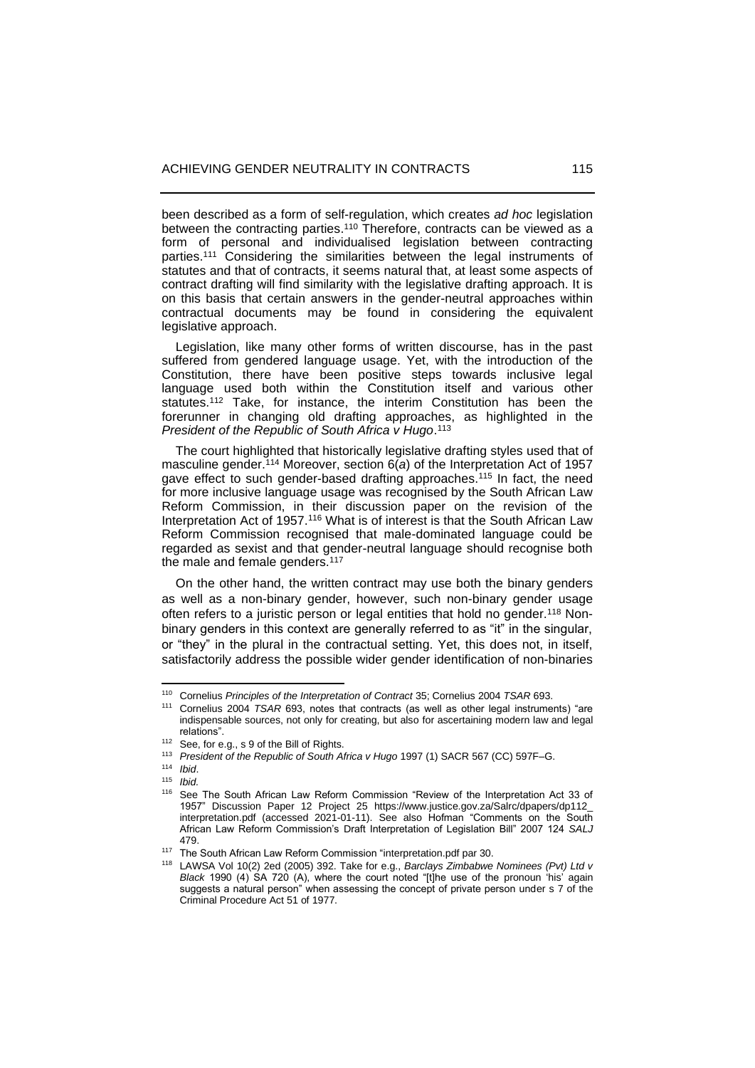been described as a form of self-regulation, which creates *ad hoc* legislation between the contracting parties.<sup>110</sup> Therefore, contracts can be viewed as a form of personal and individualised legislation between contracting parties. <sup>111</sup> Considering the similarities between the legal instruments of statutes and that of contracts, it seems natural that, at least some aspects of contract drafting will find similarity with the legislative drafting approach. It is on this basis that certain answers in the gender-neutral approaches within contractual documents may be found in considering the equivalent legislative approach.

 Legislation, like many other forms of written discourse, has in the past suffered from gendered language usage. Yet, with the introduction of the Constitution, there have been positive steps towards inclusive legal language used both within the Constitution itself and various other statutes.<sup>112</sup> Take, for instance, the interim Constitution has been the forerunner in changing old drafting approaches, as highlighted in the *President of the Republic of South Africa v Hugo*. 113

 The court highlighted that historically legislative drafting styles used that of masculine gender. <sup>114</sup> Moreover, section 6(*a*) of the Interpretation Act of 1957 gave effect to such gender-based drafting approaches.<sup>115</sup> In fact, the need for more inclusive language usage was recognised by the South African Law Reform Commission, in their discussion paper on the revision of the Interpretation Act of 1957.<sup>116</sup> What is of interest is that the South African Law Reform Commission recognised that male-dominated language could be regarded as sexist and that gender-neutral language should recognise both the male and female genders.<sup>117</sup>

 On the other hand, the written contract may use both the binary genders as well as a non-binary gender, however, such non-binary gender usage often refers to a juristic person or legal entities that hold no gender.<sup>118</sup> Nonbinary genders in this context are generally referred to as "it" in the singular, or "they" in the plural in the contractual setting. Yet, this does not, in itself, satisfactorily address the possible wider gender identification of non-binaries

<sup>110</sup> Cornelius *Principles of the Interpretation of Contract* 35; Cornelius 2004 *TSAR* 693.

<sup>111</sup> Cornelius 2004 *TSAR* 693, notes that contracts (as well as other legal instruments) "are indispensable sources, not only for creating, but also for ascertaining modern law and legal relations".

<sup>112</sup> See, for e.g., s 9 of the Bill of Rights.

<sup>113</sup> *President of the Republic of South Africa v Hugo* 1997 (1) SACR 567 (CC) 597F‒G.

<sup>114</sup> *Ibid*.

<sup>115</sup> *Ibid.*

<sup>&</sup>lt;sup>116</sup> See The South African Law Reform Commission "Review of the Interpretation Act 33 of 1957" Discussion Paper 12 Project 25 [https://www.justice.gov.za/Salrc/dpapers/dp112\\_](https://www.justice.gov.za/Salrc/dpapers/dp112_%20interpretation.pdf)  [interpretation.pdf](https://www.justice.gov.za/Salrc/dpapers/dp112_%20interpretation.pdf) (accessed 2021-01-11). See also Hofman "Comments on the South African Law Reform Commission's Draft Interpretation of Legislation Bill" 2007 124 *SALJ* 479.

<sup>117</sup> The South African Law Reform Commission "interpretation.pdf par 30.

<sup>118</sup> LAWSA Vol 10(2) 2ed (2005) 392. Take for e.g., *Barclays Zimbabwe Nominees (Pvt) Ltd v Black* 1990 (4) SA 720 (A), where the court noted "[t]he use of the pronoun 'his' again suggests a natural person" when assessing the concept of private person under s 7 of the Criminal Procedure Act 51 of 1977.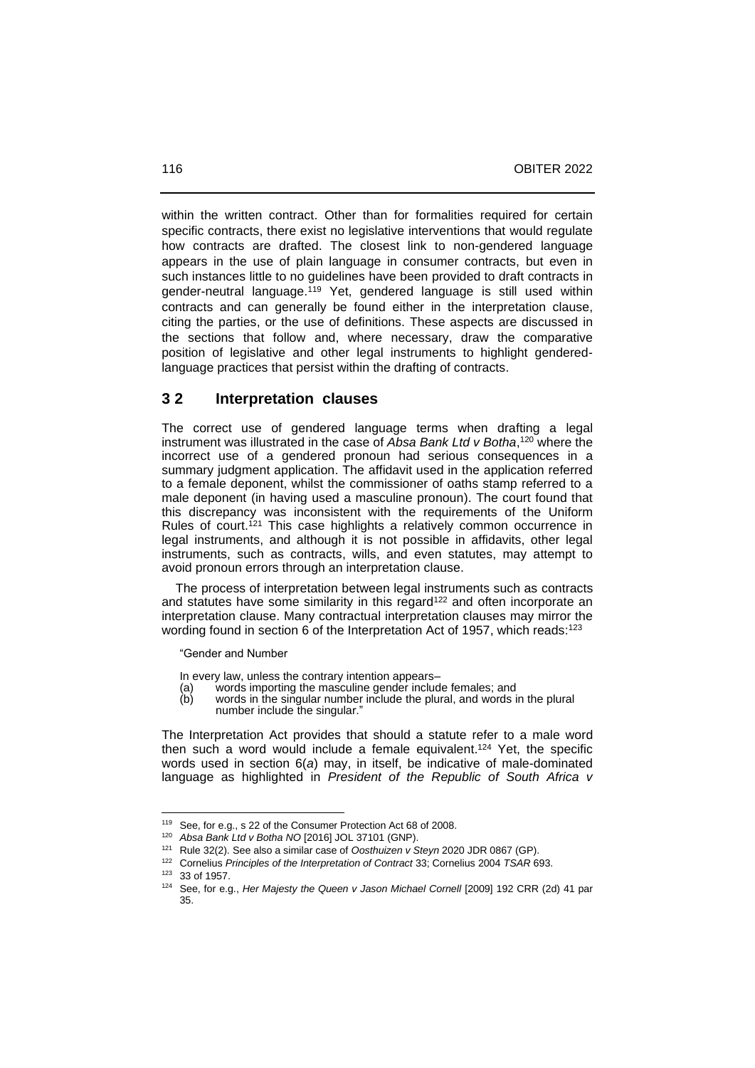within the written contract. Other than for formalities required for certain specific contracts, there exist no legislative interventions that would regulate how contracts are drafted. The closest link to non-gendered language appears in the use of plain language in consumer contracts, but even in such instances little to no guidelines have been provided to draft contracts in gender-neutral language.<sup>119</sup> Yet, gendered language is still used within contracts and can generally be found either in the interpretation clause, citing the parties, or the use of definitions. These aspects are discussed in the sections that follow and, where necessary, draw the comparative position of legislative and other legal instruments to highlight genderedlanguage practices that persist within the drafting of contracts.

## **3 2 Interpretation clauses**

The correct use of gendered language terms when drafting a legal instrument was illustrated in the case of *Absa Bank Ltd v Botha*, <sup>120</sup> where the incorrect use of a gendered pronoun had serious consequences in a summary judgment application. The affidavit used in the application referred to a female deponent, whilst the commissioner of oaths stamp referred to a male deponent (in having used a masculine pronoun). The court found that this discrepancy was inconsistent with the requirements of the Uniform Rules of court.<sup>121</sup> This case highlights a relatively common occurrence in legal instruments, and although it is not possible in affidavits, other legal instruments, such as contracts, wills, and even statutes, may attempt to avoid pronoun errors through an interpretation clause.

 The process of interpretation between legal instruments such as contracts and statutes have some similarity in this regard<sup>122</sup> and often incorporate an interpretation clause. Many contractual interpretation clauses may mirror the wording found in section 6 of the Interpretation Act of 1957, which reads:<sup>123</sup>

"Gender and Number

In every law, unless the contrary intention appears–

- (a) words importing the masculine gender include females; and
- (b) words in the singular number include the plural, and words in the plural number include the singular."

The Interpretation Act provides that should a statute refer to a male word then such a word would include a female equivalent. <sup>124</sup> Yet, the specific words used in section 6(*a*) may, in itself, be indicative of male-dominated language as highlighted in *President of the Republic of South Africa v* 

<sup>119</sup> See, for e.g., s 22 of the Consumer Protection Act 68 of 2008.

<sup>120</sup> *Absa Bank Ltd v Botha NO* [2016] JOL 37101 (GNP).

<sup>121</sup> Rule 32(2). See also a similar case of *Oosthuizen v Steyn* 2020 JDR 0867 (GP).

<sup>122</sup> Cornelius *Principles of the Interpretation of Contract* 33; Cornelius 2004 *TSAR* 693.

<sup>123</sup> 33 of 1957.

<sup>124</sup> See, for e.g., *Her Majesty the Queen v Jason Michael Cornell* [2009] 192 CRR (2d) 41 par 35.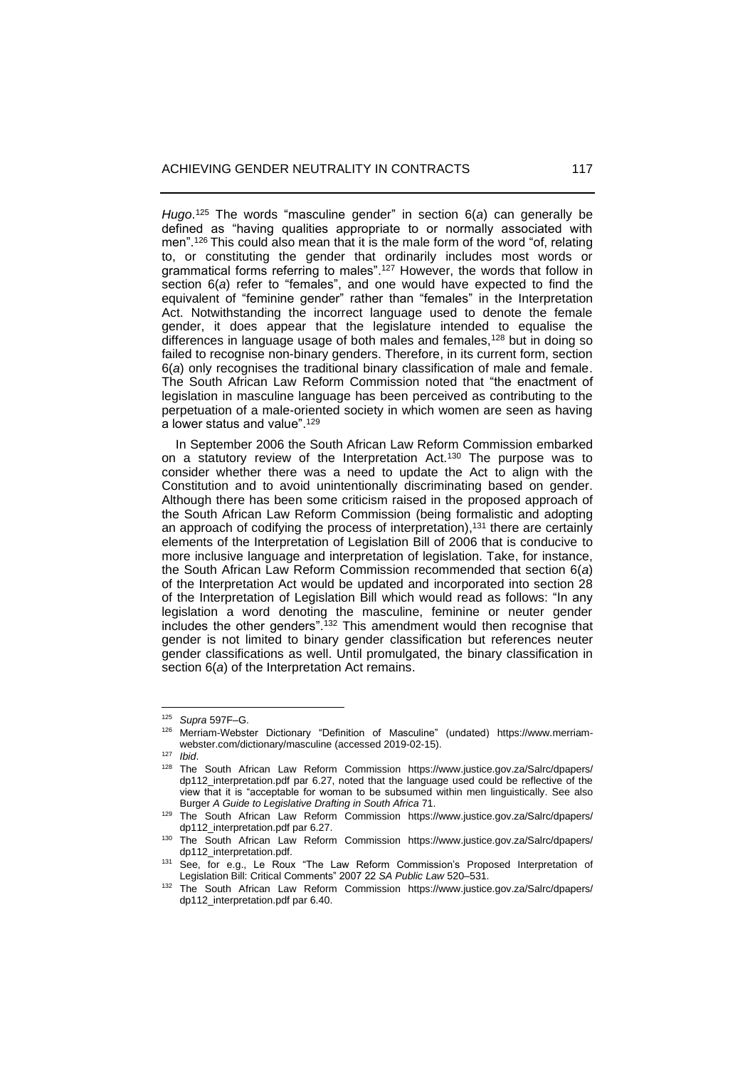*Hugo*. <sup>125</sup> The words "masculine gender" in section 6(*a*) can generally be defined as "having qualities appropriate to or normally associated with men".<sup>126</sup> This could also mean that it is the male form of the word "of, relating to, or constituting the gender that ordinarily includes most words or grammatical forms referring to males". <sup>127</sup> However, the words that follow in section 6(*a*) refer to "females", and one would have expected to find the equivalent of "feminine gender" rather than "females" in the Interpretation Act. Notwithstanding the incorrect language used to denote the female gender, it does appear that the legislature intended to equalise the differences in language usage of both males and females,<sup>128</sup> but in doing so failed to recognise non-binary genders. Therefore, in its current form, section 6(*a*) only recognises the traditional binary classification of male and female. The South African Law Reform Commission noted that "the enactment of legislation in masculine language has been perceived as contributing to the perpetuation of a male-oriented society in which women are seen as having a lower status and value". 129

 In September 2006 the South African Law Reform Commission embarked on a statutory review of the Interpretation Act.<sup>130</sup> The purpose was to consider whether there was a need to update the Act to align with the Constitution and to avoid unintentionally discriminating based on gender. Although there has been some criticism raised in the proposed approach of the South African Law Reform Commission (being formalistic and adopting an approach of codifying the process of interpretation),<sup>131</sup> there are certainly elements of the Interpretation of Legislation Bill of 2006 that is conducive to more inclusive language and interpretation of legislation. Take, for instance, the South African Law Reform Commission recommended that section 6(*a*) of the Interpretation Act would be updated and incorporated into section 28 of the Interpretation of Legislation Bill which would read as follows: "In any legislation a word denoting the masculine, feminine or neuter gender includes the other genders".<sup>132</sup> This amendment would then recognise that gender is not limited to binary gender classification but references neuter gender classifications as well. Until promulgated, the binary classification in section 6(*a*) of the Interpretation Act remains.

<sup>125</sup> *Supra* 597F‒G.

<sup>126</sup> Merriam-Webster Dictionary "Definition of Masculine" (undated) [https://www.merriam](https://www.merriam-webster.com/dictionary/masculine)[webster.com/dictionary/masculine](https://www.merriam-webster.com/dictionary/masculine) (accessed 2019-02-15).

<sup>127</sup> *Ibid*.

<sup>128</sup> The South African Law Reform Commission [https://www.justice.gov.za/Salrc/dpapers/](https://www.justice.gov.za/Salrc/dpapers/%20dp112_)  [dp112\\_in](https://www.justice.gov.za/Salrc/dpapers/%20dp112_)terpretation.pdf par 6.27, noted that the language used could be reflective of the view that it is "acceptable for woman to be subsumed within men linguistically. See also Burger *A Guide to Legislative Drafting in South Africa* 71.

<sup>129</sup> The South African Law Reform Commission [https://www.justice.gov.za/Salrc/dpapers/](https://www.justice.gov.za/Salrc/dpapers/%20dp112_)  [dp112\\_in](https://www.justice.gov.za/Salrc/dpapers/%20dp112_)terpretation.pdf par 6.27.

<sup>130</sup> The South African Law Reform Commission [https://www.justice.gov.za/Salrc/dpapers/](https://www.justice.gov.za/Salrc/dpapers/%20dp112_)  [dp112\\_in](https://www.justice.gov.za/Salrc/dpapers/%20dp112_)terpretation.pdf.

<sup>131</sup> See, for e.g., Le Roux "The Law Reform Commission's Proposed Interpretation of Legislation Bill: Critical Comments" 2007 22 *SA Public Law* 520-531.

<sup>132</sup> The South African Law Reform Commission [https://www.justice.gov.za/Salrc/dpapers/](https://www.justice.gov.za/Salrc/dpapers/%20dp112_)  dp112 interpretation.pdf par 6.40.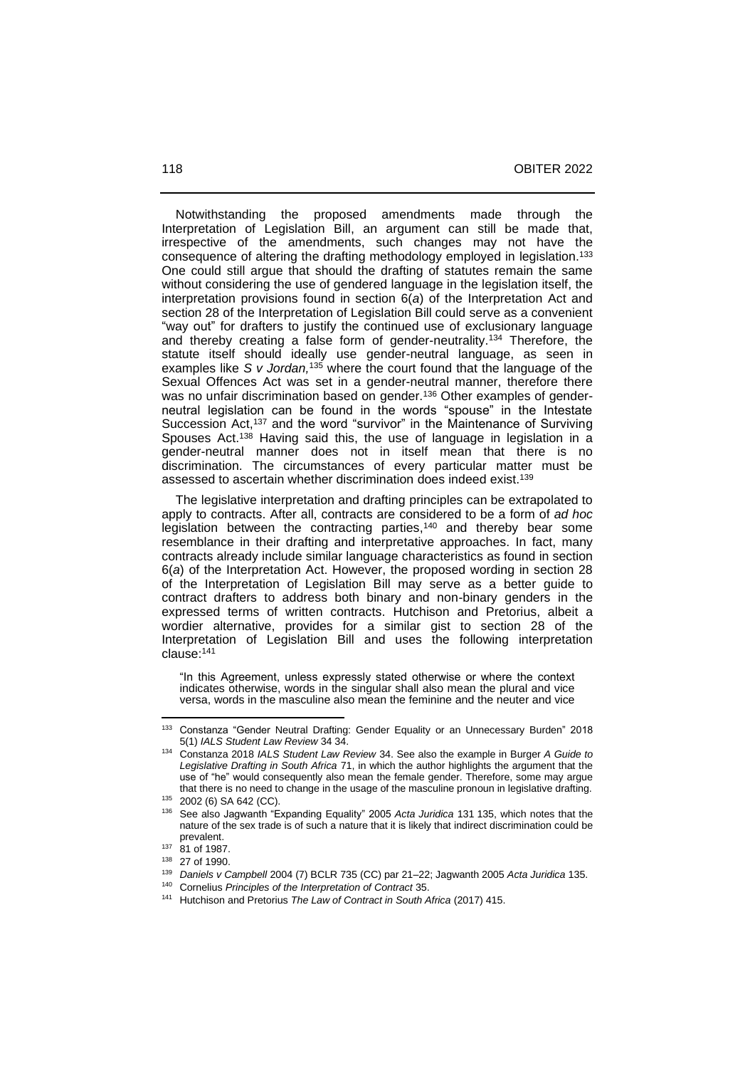Notwithstanding the proposed amendments made through the Interpretation of Legislation Bill, an argument can still be made that, irrespective of the amendments, such changes may not have the consequence of altering the drafting methodology employed in legislation. 133 One could still argue that should the drafting of statutes remain the same without considering the use of gendered language in the legislation itself, the interpretation provisions found in section 6(*a*) of the Interpretation Act and section 28 of the Interpretation of Legislation Bill could serve as a convenient "way out" for drafters to justify the continued use of exclusionary language and thereby creating a false form of gender-neutrality.<sup>134</sup> Therefore, the statute itself should ideally use gender-neutral language, as seen in examples like *S v Jordan,*<sup>135</sup> where the court found that the language of the Sexual Offences Act was set in a gender-neutral manner, therefore there was no unfair discrimination based on gender.<sup>136</sup> Other examples of genderneutral legislation can be found in the words "spouse" in the Intestate Succession Act,<sup>137</sup> and the word "survivor" in the Maintenance of Surviving Spouses Act.<sup>138</sup> Having said this, the use of language in legislation in a gender-neutral manner does not in itself mean that there is no discrimination. The circumstances of every particular matter must be assessed to ascertain whether discrimination does indeed exist.<sup>139</sup>

 The legislative interpretation and drafting principles can be extrapolated to apply to contracts. After all, contracts are considered to be a form of *ad hoc* legislation between the contracting parties,<sup>140</sup> and thereby bear some resemblance in their drafting and interpretative approaches. In fact, many contracts already include similar language characteristics as found in section 6(*a*) of the Interpretation Act. However, the proposed wording in section 28 of the Interpretation of Legislation Bill may serve as a better guide to contract drafters to address both binary and non-binary genders in the expressed terms of written contracts. Hutchison and Pretorius, albeit a wordier alternative, provides for a similar gist to section 28 of the Interpretation of Legislation Bill and uses the following interpretation clause: 141

"In this Agreement, unless expressly stated otherwise or where the context indicates otherwise, words in the singular shall also mean the plural and vice versa, words in the masculine also mean the feminine and the neuter and vice

<sup>133</sup> Constanza "Gender Neutral Drafting: Gender Equality or an Unnecessary Burden" 2018 5(1) *IALS Student Law Review* 34 34.

<sup>134</sup> Constanza 2018 *IALS Student Law Review* 34. See also the example in Burger *A Guide to Legislative Drafting in South Africa* 71, in which the author highlights the argument that the use of "he" would consequently also mean the female gender. Therefore, some may argue that there is no need to change in the usage of the masculine pronoun in legislative drafting.

<sup>135</sup> [2002 \(6\) SA 642](https://0-jutastat-juta-co-za.ujlink.uj.ac.za/nxt/foliolinks.asp?f=xhitlist&xhitlist_x=Advanced&xhitlist_vpc=first&xhitlist_xsl=querylink.xsl&xhitlist_sel=title;path;content-type;home-title&xhitlist_d=%7bsalr%7d&xhitlist_q=%5bfield%20folio-destination-name:%27026642%27%5d&xhitlist_md=target-id=0-0-0-11679) (CC).

<sup>136</sup> See also Jagwanth "Expanding Equality" 2005 *Acta Juridica* 131 135, which notes that the nature of the sex trade is of such a nature that it is likely that indirect discrimination could be prevalent.

 $137$  81 of 1987

<sup>138</sup> [27 of 1990.](https://0-jutastat-juta-co-za.ujlink.uj.ac.za/nxt/foliolinks.asp?f=xhitlist&xhitlist_x=Advanced&xhitlist_vpc=first&xhitlist_xsl=querylink.xsl&xhitlist_sel=title;path;content-type;home-title&xhitlist_d=%7bstatreg%7d&xhitlist_q=%5bfield%20folio-destination-name:%27a27of1990%27%5d&xhitlist_md=target-id=0-0-0-381251)

<sup>139</sup> *Daniels v Campbell* 2004 (7) BCLR 735 (CC) par 21‒22; Jagwanth 2005 *Acta Juridica* 135.

<sup>140</sup> Cornelius *Principles of the Interpretation of Contract* 35.

<sup>141</sup> Hutchison and Pretorius *The Law of Contract in South Africa* (2017) 415.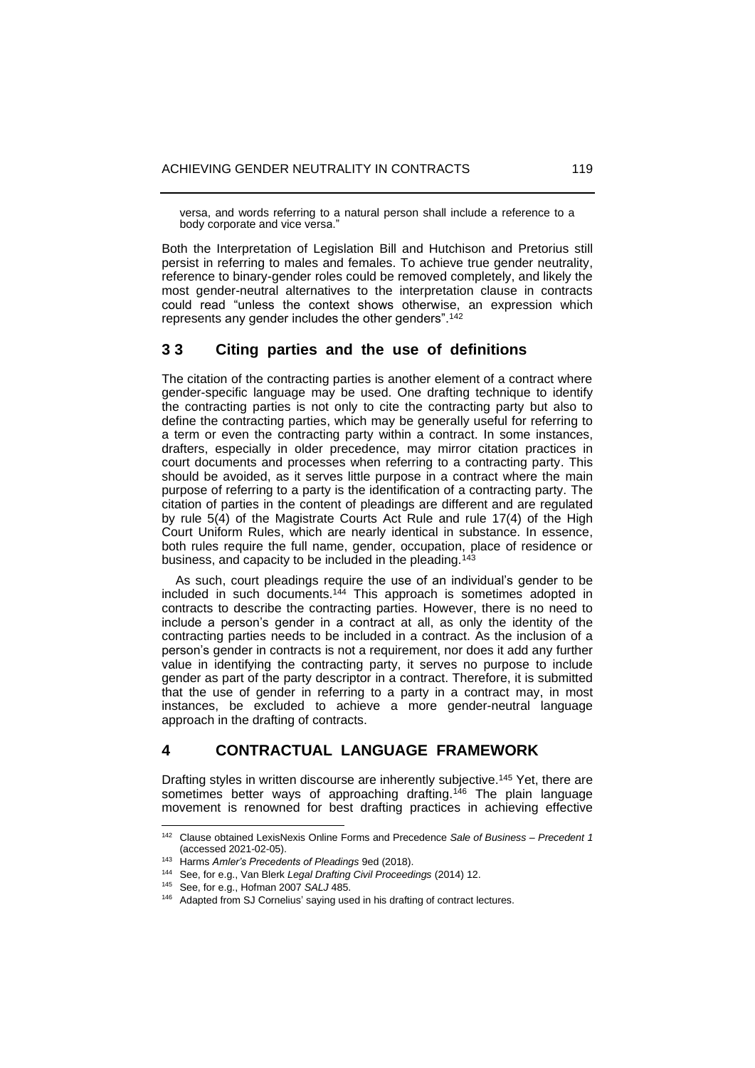versa, and words referring to a natural person shall include a reference to a body corporate and vice versa."

Both the Interpretation of Legislation Bill and Hutchison and Pretorius still persist in referring to males and females. To achieve true gender neutrality, reference to binary-gender roles could be removed completely, and likely the most gender-neutral alternatives to the interpretation clause in contracts could read "unless the context shows otherwise, an expression which represents any gender includes the other genders".<sup>142</sup>

### **3 3 Citing parties and the use of definitions**

The citation of the contracting parties is another element of a contract where gender-specific language may be used. One drafting technique to identify the contracting parties is not only to cite the contracting party but also to define the contracting parties, which may be generally useful for referring to a term or even the contracting party within a contract. In some instances, drafters, especially in older precedence, may mirror citation practices in court documents and processes when referring to a contracting party. This should be avoided, as it serves little purpose in a contract where the main purpose of referring to a party is the identification of a contracting party. The citation of parties in the content of pleadings are different and are regulated by rule 5(4) of the Magistrate Courts Act Rule and rule 17(4) of the High Court Uniform Rules, which are nearly identical in substance. In essence, both rules require the full name, gender, occupation, place of residence or business, and capacity to be included in the pleading.<sup>143</sup>

 As such, court pleadings require the use of an individual's gender to be included in such documents. <sup>144</sup> This approach is sometimes adopted in contracts to describe the contracting parties. However, there is no need to include a person's gender in a contract at all, as only the identity of the contracting parties needs to be included in a contract. As the inclusion of a person's gender in contracts is not a requirement, nor does it add any further value in identifying the contracting party, it serves no purpose to include gender as part of the party descriptor in a contract. Therefore, it is submitted that the use of gender in referring to a party in a contract may, in most instances, be excluded to achieve a more gender-neutral language approach in the drafting of contracts.

# **4 CONTRACTUAL LANGUAGE FRAMEWORK**

Drafting styles in written discourse are inherently subjective.<sup>145</sup> Yet, there are sometimes better ways of approaching drafting.<sup>146</sup> The plain language movement is renowned for best drafting practices in achieving effective

<sup>142</sup> Clause obtained LexisNexis Online Forms and Precedence *Sale of Business – Precedent 1* (accessed 2021-02-05).

<sup>143</sup> Harms *Amler's Precedents of Pleadings* 9ed (2018).

<sup>144</sup> See, for e.g., Van Blerk *Legal Drafting Civil Proceedings* (2014) 12.

<sup>145</sup> See, for e.g., Hofman 2007 *SALJ* 485.

<sup>146</sup> Adapted from SJ Cornelius' saying used in his drafting of contract lectures.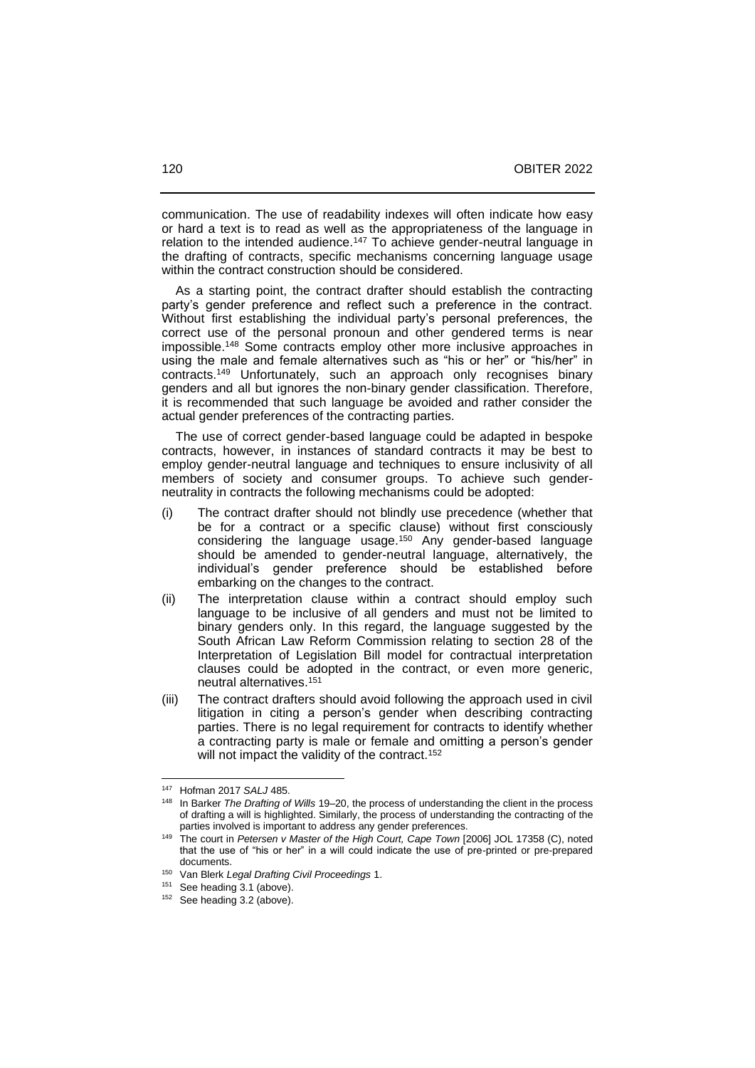communication. The use of readability indexes will often indicate how easy or hard a text is to read as well as the appropriateness of the language in relation to the intended audience.<sup>147</sup> To achieve gender-neutral language in the drafting of contracts, specific mechanisms concerning language usage within the contract construction should be considered.

 As a starting point, the contract drafter should establish the contracting party's gender preference and reflect such a preference in the contract. Without first establishing the individual party's personal preferences, the correct use of the personal pronoun and other gendered terms is near impossible.<sup>148</sup> Some contracts employ other more inclusive approaches in using the male and female alternatives such as "his or her" or "his/her" in contracts.<sup>149</sup> Unfortunately, such an approach only recognises binary genders and all but ignores the non-binary gender classification. Therefore, it is recommended that such language be avoided and rather consider the actual gender preferences of the contracting parties.

 The use of correct gender-based language could be adapted in bespoke contracts, however, in instances of standard contracts it may be best to employ gender-neutral language and techniques to ensure inclusivity of all members of society and consumer groups. To achieve such genderneutrality in contracts the following mechanisms could be adopted:

- (i) The contract drafter should not blindly use precedence (whether that be for a contract or a specific clause) without first consciously considering the language usage. <sup>150</sup> Any gender-based language should be amended to gender-neutral language, alternatively, the individual's gender preference should be established before embarking on the changes to the contract.
- (ii) The interpretation clause within a contract should employ such language to be inclusive of all genders and must not be limited to binary genders only. In this regard, the language suggested by the South African Law Reform Commission relating to section 28 of the Interpretation of Legislation Bill model for contractual interpretation clauses could be adopted in the contract, or even more generic, neutral alternatives. 151
- (iii) The contract drafters should avoid following the approach used in civil litigation in citing a person's gender when describing contracting parties. There is no legal requirement for contracts to identify whether a contracting party is male or female and omitting a person's gender will not impact the validity of the contract.<sup>152</sup>

<sup>147</sup> Hofman 2017 *SALJ* 485.

<sup>&</sup>lt;sup>148</sup> In Barker *The Drafting of Wills* 19–20, the process of understanding the client in the process of drafting a will is highlighted. Similarly, the process of understanding the contracting of the parties involved is important to address any gender preferences.

<sup>&</sup>lt;sup>149</sup> The court in *Petersen v Master of the High Court, Cape Town* [2006] JOL 17358 (C), noted that the use of "his or her" in a will could indicate the use of pre-printed or pre-prepared documents.

<sup>150</sup> Van Blerk *Legal Drafting Civil Proceedings* 1.

<sup>151</sup> See heading 3.1 (above).

<sup>&</sup>lt;sup>152</sup> See heading 3.2 (above).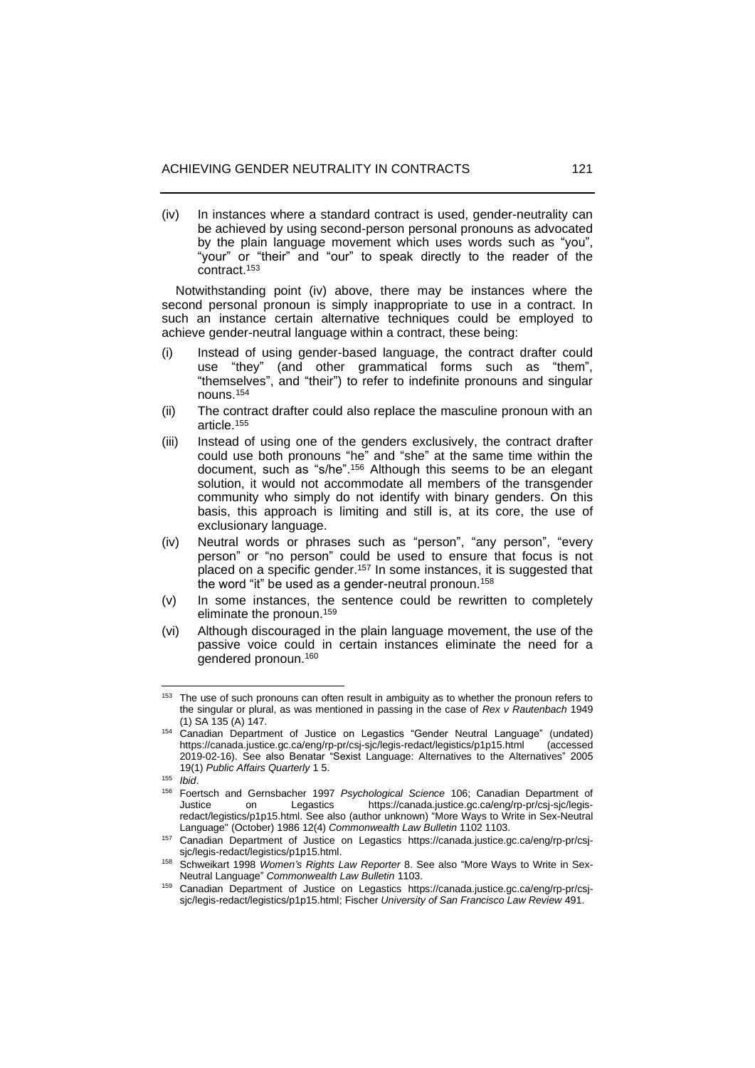(iv) In instances where a standard contract is used, gender-neutrality can be achieved by using second-person personal pronouns as advocated by the plain language movement which uses words such as "you", "your" or "their" and "our" to speak directly to the reader of the contract. 153

 Notwithstanding point (iv) above, there may be instances where the second personal pronoun is simply inappropriate to use in a contract. In such an instance certain alternative techniques could be employed to achieve gender-neutral language within a contract, these being:

- (i) Instead of using gender-based language, the contract drafter could use "they" (and other grammatical forms such as "them", "themselves", and "their") to refer to indefinite pronouns and singular nouns. 154
- (ii) The contract drafter could also replace the masculine pronoun with an article. 155
- (iii) Instead of using one of the genders exclusively, the contract drafter could use both pronouns "he" and "she" at the same time within the document, such as "s/he". <sup>156</sup> Although this seems to be an elegant solution, it would not accommodate all members of the transgender community who simply do not identify with binary genders. On this basis, this approach is limiting and still is, at its core, the use of exclusionary language.
- (iv) Neutral words or phrases such as "person", "any person", "every person" or "no person" could be used to ensure that focus is not placed on a specific gender.<sup>157</sup> In some instances, it is suggested that the word "it" be used as a gender-neutral pronoun.<sup>158</sup>
- (v) In some instances, the sentence could be rewritten to completely eliminate the pronoun. 159
- (vi) Although discouraged in the plain language movement, the use of the passive voice could in certain instances eliminate the need for a gendered pronoun.<sup>160</sup>

 $153$  The use of such pronouns can often result in ambiguity as to whether the pronoun refers to the singular or plural, as was mentioned in passing in the case of *Rex v Rautenbach* 1949 (1) SA 135 (A) 147.

<sup>154</sup> Canadian Department of Justice on Legastics "Gender Neutral Language" (undated) <https://canada.justice.gc.ca/eng/rp-pr/csj-sjc/legis-redact/legistics/p1p15.html> (accessed 2019-02-16). See also Benatar "Sexist Language: Alternatives to the Alternatives" 2005 19(1) *Public Affairs Quarterly* 1 5.

<sup>155</sup> *Ibid*.

<sup>156</sup> Foertsch and Gernsbacher 1997 *Psychological Science* 106; Canadian Department of on Legastics [https://canada.justice.gc.ca/eng/rp-pr/csj-sjc/legis](https://canada.justice.gc.ca/eng/rp-pr/csj-sjc/legis-redact/legistics/p1p15.html)[redact/legistics/p1p15.html.](https://canada.justice.gc.ca/eng/rp-pr/csj-sjc/legis-redact/legistics/p1p15.html) See also (author unknown) "More Ways to Write in Sex-Neutral Language" (October) 1986 12(4) *Commonwealth Law Bulletin* 1102 1103.

<sup>157</sup> Canadian Department of Justice on Legastics [https://canada.justice.gc.ca/eng/rp-pr/csj](https://canada.justice.gc.ca/eng/rp-pr/csj-sjc/legis-redact/legistics/p1p15.html)[sjc/legis-redact/legistics/p1p15.html.](https://canada.justice.gc.ca/eng/rp-pr/csj-sjc/legis-redact/legistics/p1p15.html)

<sup>158</sup> Schweikart 1998 *Women's Rights Law Reporter* 8. See also "More Ways to Write in Sex-Neutral Language" *Commonwealth Law Bulletin* 1103.

<sup>159</sup> Canadian Department of Justice on Legastics [https://canada.justice.gc.ca/eng/rp-pr/csj](https://canada.justice.gc.ca/eng/rp-pr/csj-sjc/legis-redact/legistics/p1p15.html)[sjc/legis-redact/legistics/p1p15.html;](https://canada.justice.gc.ca/eng/rp-pr/csj-sjc/legis-redact/legistics/p1p15.html) Fischer *University of San Francisco Law Review* 491.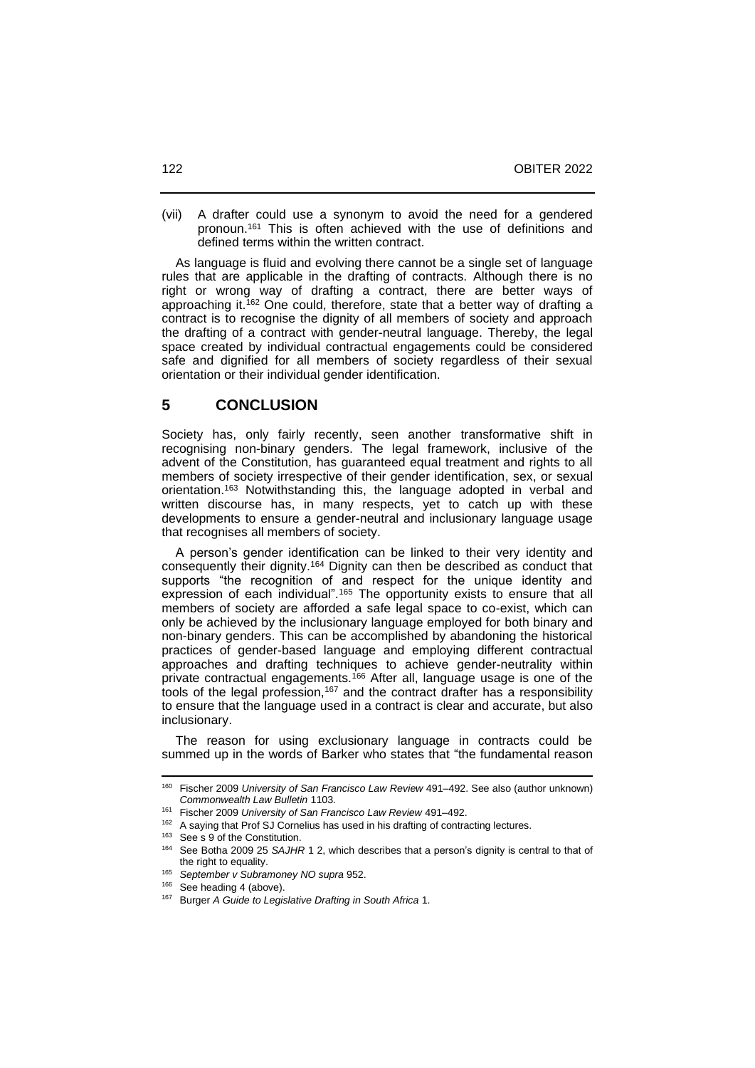(vii) A drafter could use a synonym to avoid the need for a gendered pronoun. <sup>161</sup> This is often achieved with the use of definitions and defined terms within the written contract.

 As language is fluid and evolving there cannot be a single set of language rules that are applicable in the drafting of contracts. Although there is no right or wrong way of drafting a contract, there are better ways of approaching it.<sup>162</sup> One could, therefore, state that a better way of drafting a contract is to recognise the dignity of all members of society and approach the drafting of a contract with gender-neutral language. Thereby, the legal space created by individual contractual engagements could be considered safe and dignified for all members of society regardless of their sexual orientation or their individual gender identification.

#### **5 CONCLUSION**

Society has, only fairly recently, seen another transformative shift in recognising non-binary genders. The legal framework, inclusive of the advent of the Constitution, has guaranteed equal treatment and rights to all members of society irrespective of their gender identification, sex, or sexual orientation. <sup>163</sup> Notwithstanding this, the language adopted in verbal and written discourse has, in many respects, yet to catch up with these developments to ensure a gender-neutral and inclusionary language usage that recognises all members of society.

 A person's gender identification can be linked to their very identity and consequently their dignity.<sup>164</sup> Dignity can then be described as conduct that supports "the recognition of and respect for the unique identity and expression of each individual".<sup>165</sup> The opportunity exists to ensure that all members of society are afforded a safe legal space to co-exist, which can only be achieved by the inclusionary language employed for both binary and non-binary genders. This can be accomplished by abandoning the historical practices of gender-based language and employing different contractual approaches and drafting techniques to achieve gender-neutrality within private contractual engagements.<sup>166</sup> After all, language usage is one of the tools of the legal profession,<sup>167</sup> and the contract drafter has a responsibility to ensure that the language used in a contract is clear and accurate, but also inclusionary.

 The reason for using exclusionary language in contracts could be summed up in the words of Barker who states that "the fundamental reason

<sup>&</sup>lt;sup>160</sup> Fischer 2009 *University of San Francisco Law Review* 491–492. See also (author unknown) *Commonwealth Law Bulletin* 1103.

<sup>&</sup>lt;sup>161</sup> Fischer 2009 University of San Francisco Law Review 491-492.

<sup>162</sup> A saying that Prof SJ Cornelius has used in his drafting of contracting lectures.

<sup>&</sup>lt;sup>163</sup> See s 9 of the Constitution.

<sup>164</sup> See Botha 2009 25 *SAJHR* 1 2, which describes that a person's dignity is central to that of the right to equality.

<sup>165</sup> *September v Subramoney NO supra* 952.

<sup>&</sup>lt;sup>166</sup> See heading 4 (above).

<sup>167</sup> Burger *A Guide to Legislative Drafting in South Africa* 1.